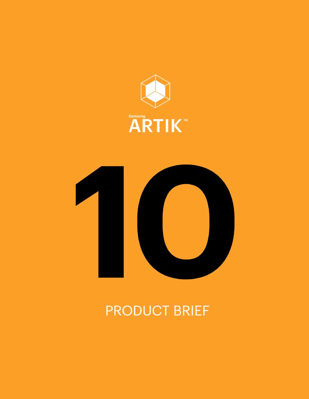



# **PRODUCT BRIEF**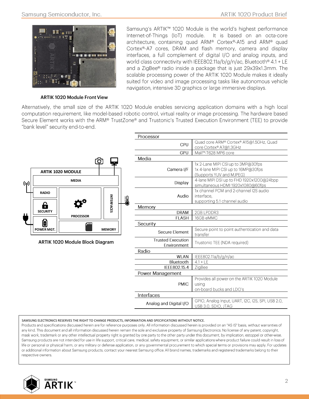

**ARTIK 1020 Module Front View** 

Samsung's ARTIK™ 1020 Module is the world's highest performance Internet-of-Things (IoT) module. It is based on an octa-core architecture, containing quad ARM® Cortex®-A15 and ARM® quad Cortex®-A7 cores, DRAM and flash memory, camera and display interfaces, a full complement of digital I/O and analog inputs, and world class connectivity with IEEE802.11a/b/g/n/ac, Bluetooth® 4.1 + LE and a ZigBee® radio inside a package that is just 29x39x1.3mm. The scalable processing power of the ARTIK 1020 Module makes it ideally suited for video and image processing tasks like autonomous vehicle navigation, intensive 3D graphics or large immersive displays.

Alternatively, the small size of the ARTIK 1020 Module enables servicing application domains with a high local computation requirement, like model-based robotic control, virtual reality or image processing. The hardware based Secure Element works with the ARM® TrustZone® and Trustonic's Trusted Execution Environment (TEE) to provide "bank level" security end-to-end.



| Camera I/F                              | 1x 4-lane MIPI CSI up to 16MP@30fps<br>(Supports YUV and MJPEG)                      |
|-----------------------------------------|--------------------------------------------------------------------------------------|
| Display                                 | 4-lane MIPI DSI up to FHD 1920x1200@24bpp<br>simultaneous HDMI 1920x1080@60fps       |
| Audio                                   | 1x channel PCM and 2-channel I2S audio<br>interface.<br>supporting 5.1 channel audio |
| Memory                                  |                                                                                      |
| <b>DRAM</b>                             | 2GB LPDDR3                                                                           |
| <b>FI ASH</b>                           | 16GB eMMC                                                                            |
| Security                                |                                                                                      |
| Secure Flement                          | Secure point to point authentication and data<br>transfer                            |
| <b>Trusted Execution</b><br>Environment | Trustonic TEE (NDA required)                                                         |
| Radio                                   |                                                                                      |
| WI AN                                   | IEEE802.11a/b/g/n/ac                                                                 |
| Bluetooth                               | $4.1 + 1F$                                                                           |
| IEEE802.15.4                            | ZigBee                                                                               |
| Power Management                        |                                                                                      |
| <b>PMIC</b>                             | Provides all power on the ARTIK 1020 Module<br>usina<br>on-board bucks and LDO's     |
| Interfaces                              |                                                                                      |
| Analog and Digital I/O                  | GPIO, Analog Input, UART, I2C, I2S, SPI, USB 2.0,<br>USB 3.0, SDIO, JTAG             |
|                                         |                                                                                      |

#### SAMSUNG ELECTRONICS RESERVES THE RIGHT TO CHANGE PRODUCTS, INFORMATION AND SPECIFICATIONS WITHOUT NOTICE.

Products and specifications discussed herein are for reference purposes only. All information discussed herein is provided on an "AS IS" basis, without warranties of any kind. This document and all information discussed herein remain the sole and exclusive property of Samsung Electronics. No license of any patent, copyright, mask work, trademark or any other intellectual property right is granted by one party to the other party under this document, by implication, estoppel or other-wise. Samsung products are not intended for use in life support, critical care, medical, safety equipment, or similar applications where product failure could result in loss of life or personal or physical harm, or any military or defense application, or any governmental procurement to which special terms or provisions may apply. For updates or additional information about Samsung products, contact your nearest Samsung office. All brand names, trademarks and registered trademarks belong to their respective owners.